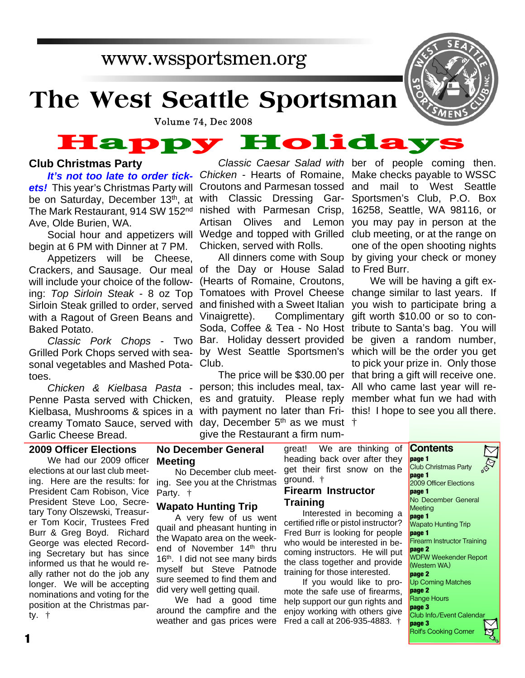## www.wssportsmen.org

# **The West Seattle Sportsman**

# Volume 74, Dec 2008<br> **Happy Holiday**

### **Club Christmas Party**

ets! This year's Christmas Party will Croutons and Parmesan tossed be on Saturday, December 13<sup>th</sup>, at with Classic Dressing Gar-The Mark Restaurant, 914 SW 152<sup>nd</sup> nished with Parmesan Crisp, Ave, Olde Burien, WA.

begin at 6 PM with Dinner at 7 PM.

Crackers, and Sausage. Our meal of the Day or House Salad to Fred Burr. Appetizers will be Cheese, will include your choice of the following: *Top Sirloin Steak* - 8 oz Top Sirloin Steak grilled to order, served with a Ragout of Green Beans and Baked Potato.

Grilled Pork Chops served with sea- by West Seattle Sportsmen's sonal vegetables and Mashed Pota- Club. toes.

Penne Pasta served with Chicken, es and gratuity. Please reply member what fun we had with Kielbasa, Mushrooms & spices in a with payment no later than Fri- this! I hope to see you all there. creamy Tomato Sauce, served with day, December 5<sup>th</sup> as we must  $\dagger$ Garlic Cheese Bread.

### **2009 Officer Elections**

We had our 2009 officer elections at our last club meeting. Here are the results: for President Cam Robison, Vice President Steve Loo, Secretary Tony Olszewski, Treasurer Tom Kocir, Trustees Fred Burr & Greg Boyd. Richard George was elected Recording Secretary but has since informed us that he would really rather not do the job any longer. We will be accepting nominations and voting for the position at the Christmas party. †

It's not too late to order tick- Chicken - Hearts of Romaine, Artisan Olives and Lemon you may pay in person at the Social hour and appetizers will Wedge and topped with Grilled club meeting, or at the range on Chicken, served with Rolls.

All dinners come with Soup (Hearts of Romaine, Croutons, Tomatoes with Provel Cheese and finished with a Sweet Italian Vinaigrette). Complimentary Soda, Coffee & Tea - No Host tribute to Santa's bag. You will Classic Pork Chops - Two Bar. Holiday dessert provided

Chicken & Kielbasa Pasta - person; this includes meal, tax- All who came last year will regive the Restaurant a firm num-

*Classic Caesar Salad with* ber of people coming then. Make checks payable to WSSC and mail to West Seattle Sportsmen's Club, P.O. Box 16258, Seattle, WA 98116, or one of the open shooting nights by giving your check or money

The price will be \$30.00 per that bring a gift will receive one. We will be having a gift exchange similar to last years. If you wish to participate bring a gift worth \$10.00 or so to conbe given a random number, which will be the order you get to pick your prize in. Only those

### **No December General Meeting** No December club meet-

ing. See you at the Christmas Party. †

### **Wapato Hunting Trip**

A very few of us went quail and pheasant hunting in the Wapato area on the weekend of November 14<sup>th</sup> thru 16<sup>th</sup>. I did not see many birds myself but Steve Patnode sure seemed to find them and did very well getting quail.

We had a good time around the campfire and the weather and gas prices were

great! We are thinking of heading back over after they get their first snow on the ground. †

### **Firearm Instructor Training**

Interested in becoming a certified rifle or pistol instructor? Fred Burr is looking for people who would be interested in becoming instructors. He will put the class together and provide training for those interested.

If you would like to promote the safe use of firearms, help support our gun rights and enjoy working with others give Fred a call at 206-935-4883. †

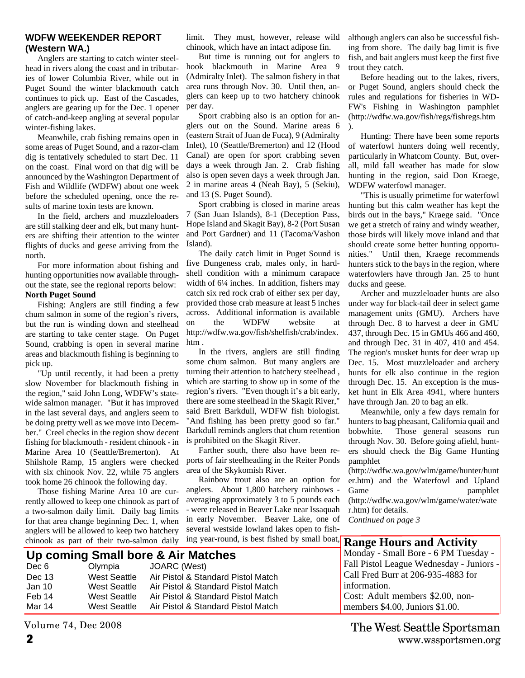### **WDFW WEEKENDER REPORT (Western WA.)**

Anglers are starting to catch winter steelhead in rivers along the coast and in tributaries of lower Columbia River, while out in Puget Sound the winter blackmouth catch continues to pick up. East of the Cascades, anglers are gearing up for the Dec. 1 opener of catch-and-keep angling at several popular winter-fishing lakes.

Meanwhile, crab fishing remains open in some areas of Puget Sound, and a razor-clam dig is tentatively scheduled to start Dec. 11 on the coast. Final word on that dig will be announced by the Washington Department of Fish and Wildlife (WDFW) about one week before the scheduled opening, once the results of marine toxin tests are known.

In the field, archers and muzzleloaders are still stalking deer and elk, but many hunters are shifting their attention to the winter flights of ducks and geese arriving from the north.

For more information about fishing and hunting opportunities now available throughout the state, see the regional reports below: **North Puget Sound**

Fishing: Anglers are still finding a few chum salmon in some of the region's rivers, but the run is winding down and steelhead are starting to take center stage. On Puget Sound, crabbing is open in several marine areas and blackmouth fishing is beginning to pick up.

"Up until recently, it had been a pretty slow November for blackmouth fishing in the region," said John Long, WDFW's statewide salmon manager. "But it has improved in the last several days, and anglers seem to be doing pretty well as we move into December." Creel checks in the region show decent fishing for blackmouth - resident chinook - in Marine Area 10 (Seattle/Bremerton). At Shilshole Ramp, 15 anglers were checked with six chinook Nov. 22, while 75 anglers took home 26 chinook the following day.

Those fishing Marine Area 10 are currently allowed to keep one chinook as part of a two-salmon daily limit. Daily bag limits for that area change beginning Dec. 1, when anglers will be allowed to keep two hatchery chinook as part of their two-salmon daily limit. They must, however, release wild chinook, which have an intact adipose fin.

But time is running out for anglers to hook blackmouth in Marine Area 9 (Admiralty Inlet). The salmon fishery in that area runs through Nov. 30. Until then, anglers can keep up to two hatchery chinook per day.

Sport crabbing also is an option for anglers out on the Sound. Marine areas 6 (eastern Strait of Juan de Fuca), 9 (Admiralty Inlet), 10 (Seattle/Bremerton) and 12 (Hood Canal) are open for sport crabbing seven days a week through Jan. 2. Crab fishing also is open seven days a week through Jan. 2 in marine areas 4 (Neah Bay), 5 (Sekiu), and 13 (S. Puget Sound).

Sport crabbing is closed in marine areas 7 (San Juan Islands), 8-1 (Deception Pass, Hope Island and Skagit Bay), 8-2 (Port Susan and Port Gardner) and 11 (Tacoma/Vashon Island).

The daily catch limit in Puget Sound is five Dungeness crab, males only, in hardshell condition with a minimum carapace width of  $6\frac{1}{4}$  inches. In addition, fishers may catch six red rock crab of either sex per day, provided those crab measure at least 5 inches across. Additional information is available on the WDFW website at http://wdfw.wa.gov/fish/shelfish/crab/index. htm .

In the rivers, anglers are still finding some chum salmon. But many anglers are turning their attention to hatchery steelhead , which are starting to show up in some of the region's rivers. "Even though it's a bit early, there are some steelhead in the Skagit River," said Brett Barkdull, WDFW fish biologist. "And fishing has been pretty good so far." Barkdull reminds anglers that chum retention is prohibited on the Skagit River.

Farther south, there also have been reports of fair steelheading in the Reiter Ponds area of the Skykomish River.

Rainbow trout also are an option for anglers. About 1,800 hatchery rainbows averaging approximately 3 to 5 pounds each - were released in Beaver Lake near Issaquah in early November. Beaver Lake, one of several westside lowland lakes open to fishing year-round, is best fished by small boat, **Range Hours and Activity**

although anglers can also be successful fishing from shore. The daily bag limit is five fish, and bait anglers must keep the first five trout they catch.

Before heading out to the lakes, rivers, or Puget Sound, anglers should check the rules and regulations for fisheries in WD-FW's Fishing in Washington pamphlet (http://wdfw.wa.gov/fish/regs/fishregs.htm ).

Hunting: There have been some reports of waterfowl hunters doing well recently, particularly in Whatcom County. But, overall, mild fall weather has made for slow hunting in the region, said Don Kraege, WDFW waterfowl manager.

"This is usually primetime for waterfowl hunting but this calm weather has kept the birds out in the bays," Kraege said. "Once we get a stretch of rainy and windy weather, those birds will likely move inland and that should create some better hunting opportunities." Until then, Kraege recommends hunters stick to the bays in the region, where waterfowlers have through Jan. 25 to hunt ducks and geese.

Archer and muzzleloader hunts are also under way for black-tail deer in select game management units (GMU). Archers have through Dec. 8 to harvest a deer in GMU 437, through Dec. 15 in GMUs 466 and 460, and through Dec. 31 in 407, 410 and 454. The region's musket hunts for deer wrap up Dec. 15. Most muzzleloader and archery hunts for elk also continue in the region through Dec. 15. An exception is the musket hunt in Elk Area 4941, where hunters have through Jan. 20 to bag an elk.

Meanwhile, only a few days remain for hunters to bag pheasant, California quail and bobwhite. Those general seasons run through Nov. 30. Before going afield, hunters should check the Big Game Hunting pamphlet

(http://wdfw.wa.gov/wlm/game/hunter/hunt er.htm) and the Waterfowl and Upland Game pamphlet (http://wdfw.wa.gov/wlm/game/water/wate

r.htm) for details.

*Continued on page 3*

### Monday - Small Bore - 6 PM Tuesday - Fall Pistol League Wednesday - Juniors - Call Fred Burr at 206-935-4883 for information. Cost: Adult members \$2.00, nonmembers \$4.00, Juniors \$1.00. **Up coming Small bore & Air Matches** Olympia JOARC (West) Dec 13 West Seattle Air Pistol & Standard Pistol Match Jan 10 West Seattle Air Pistol & Standard Pistol Match Feb 14 West Seattle Air Pistol & Standard Pistol Match Mar 14 West Seattle Air Pistol & Standard Pistol Match

Volume 74, Dec 2008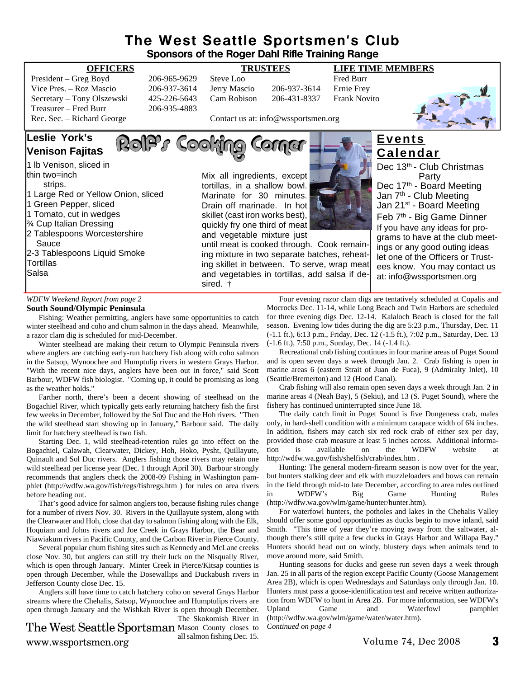### **The West Seattle Sportsmen's Club Sponsors of the Roger Dahl Rifle Training Range**

| President – Greg Boyd      | 206-965-9629 | Steve Loo                              |              | <b>Fred Burr</b> |
|----------------------------|--------------|----------------------------------------|--------------|------------------|
| Vice Pres. – Roz Mascio    | 206-937-3614 | Jerry Mascio                           | 206-937-3614 | Ernie Fre        |
| Secretary – Tony Olszewski | 425-226-5643 | Cam Robison                            | 206-431-8337 | Frank No         |
| Treasurer – Fred Burr      | 206-935-4883 |                                        |              |                  |
| Rec. Sec. – Richard George |              | Contact us at: $info@$ wssportsmen.org |              |                  |

### **Leslie York's Venison Fajitas**

1 lb Venison, sliced in thin two=inch strips. 1 Large Red or Yellow Onion, sliced 1 Green Pepper, sliced 1 Tomato, cut in wedges **<sup>3</sup> Cup Italian Dressing** 2 Tablespoons Worcestershire Sauce 2-3 Tablespoons Liquid Smoke Tortillas Salsa

37-3614 Jerry Mascio 206-937-3614 Ernie Frey 26-5643 Cam Robison 206-431-8337 Frank Novito

Rolf's Cooking

### **OFFICERS TRUSTEES LIFE TIME MEMBERS**



Contact us at: info@wssportsmen.org

Mix all ingredients, except tortillas, in a shallow bowl. Marinate for 30 minutes. Drain off marinade. In hot skillet (cast iron works best), quickly fry one third of meat and vegetable mixture just



### **Events Calendar**

Dec 13<sup>th</sup> - Club Christmas Party Dec 17th - Board Meeting Jan 7<sup>th</sup> - Club Meeting Jan 21<sup>st</sup> - Board Meeting Feb 7th - Big Game Dinner If you have any ideas for programs to have at the club meetings or any good outing ideas let one of the Officers or Trustees know. You may contact us at: info@wssportsmen.org

### *WDFW Weekend Report from page 2*

### **South Sound/Olympic Peninsula**

Fishing: Weather permitting, anglers have some opportunities to catch winter steelhead and coho and chum salmon in the days ahead. Meanwhile, a razor clam dig is scheduled for mid-December.

Winter steelhead are making their return to Olympic Peninsula rivers where anglers are catching early-run hatchery fish along with coho salmon in the Satsop, Wynoochee and Humptulip rivers in western Grays Harbor. "With the recent nice days, anglers have been out in force," said Scott Barbour, WDFW fish biologist. "Coming up, it could be promising as long as the weather holds."

Farther north, there's been a decent showing of steelhead on the Bogachiel River, which typically gets early returning hatchery fish the first few weeks in December, followed by the Sol Duc and the Hoh rivers. "Then the wild steelhead start showing up in January," Barbour said. The daily limit for hatchery steelhead is two fish.

Starting Dec. 1, wild steelhead-retention rules go into effect on the Bogachiel, Calawah, Clearwater, Dickey, Hoh, Hoko, Pysht, Quillayute, Quinault and Sol Duc rivers. Anglers fishing those rivers may retain one wild steelhead per license year (Dec. 1 through April 30). Barbour strongly recommends that anglers check the 2008-09 Fishing in Washington pamphlet (http://wdfw.wa.gov/fish/regs/fishregs.htm ) for rules on area rivers before heading out.

That's good advice for salmon anglers too, because fishing rules change for a number of rivers Nov. 30. Rivers in the Quillayute system, along with the Clearwater and Hoh, close that day to salmon fishing along with the Elk, Hoquiam and Johns rivers and Joe Creek in Grays Harbor, the Bear and Niawiakum rivers in Pacific County, and the Carbon River in Pierce County.

Several popular chum fishing sites such as Kennedy and McLane creeks close Nov. 30, but anglers can still try their luck on the Nisqually River, which is open through January. Minter Creek in Pierce/Kitsap counties is open through December, while the Dosewallips and Duckabush rivers in Jefferson County close Dec. 15.

Anglers still have time to catch hatchery coho on several Grays Harbor streams where the Chehalis, Satsop, Wynoochee and Humptulips rivers are open through January and the Wishkah River is open through December.

www.wssportsmen.org all salmon lisning Dec. 15. Volume 74, Dec 2008 **3** The West Seattle Sportsman Mason County closes to The Skokomish River in all salmon fishing Dec. 15.

Four evening razor clam digs are tentatively scheduled at Copalis and Mocrocks Dec. 11-14, while Long Beach and Twin Harbors are scheduled for three evening digs Dec. 12-14. Kalaloch Beach is closed for the fall season. Evening low tides during the dig are 5:23 p.m., Thursday, Dec. 11 (-1.1 ft.), 6:13 p.m., Friday, Dec. 12 (-1.5 ft.), 7:02 p.m., Saturday, Dec. 13 (-1.6 ft.), 7:50 p.m., Sunday, Dec. 14 (-1.4 ft.).

Recreational crab fishing continues in four marine areas of Puget Sound and is open seven days a week through Jan. 2. Crab fishing is open in marine areas 6 (eastern Strait of Juan de Fuca), 9 (Admiralty Inlet), 10 (Seattle/Bremerton) and 12 (Hood Canal).

Crab fishing will also remain open seven days a week through Jan. 2 in marine areas 4 (Neah Bay), 5 (Sekiu), and 13 (S. Puget Sound), where the fishery has continued uninterrupted since June 18.

The daily catch limit in Puget Sound is five Dungeness crab, males only, in hard-shell condition with a minimum carapace width of 6¼ inches. In addition, fishers may catch six red rock crab of either sex per day, provided those crab measure at least 5 inches across. Additional informa-<br>tion is available on the WDFW website at tion is available on the WDFW website at http://wdfw.wa.gov/fish/shelfish/crab/index.htm .

Hunting: The general modern-firearm season is now over for the year, but hunters stalking deer and elk with muzzleloaders and bows can remain in the field through mid-to late December, according to area rules outlined<br>in WDFW's Big Game Hunting Rules  $in$  WDFW's (http://wdfw.wa.gov/wlm/game/hunter/hunter.htm).

For waterfowl hunters, the potholes and lakes in the Chehalis Valley should offer some good opportunities as ducks begin to move inland, said Smith. "This time of year they're moving away from the saltwater, although there's still quite a few ducks in Grays Harbor and Willapa Bay." Hunters should head out on windy, blustery days when animals tend to move around more, said Smith.

Hunting seasons for ducks and geese run seven days a week through Jan. 25 in all parts of the region except Pacific County (Goose Management Area 2B), which is open Wednesdays and Saturdays only through Jan. 10. Hunters must pass a goose-identification test and receive written authorization from WDFW to hunt in Area 2B. For more information, see WDFW's<br>Upland Game and Waterfowl pamphlet Game and Waterfowl pamphlet (http://wdfw.wa.gov/wlm/game/water/water.htm). *Continued on page 4*